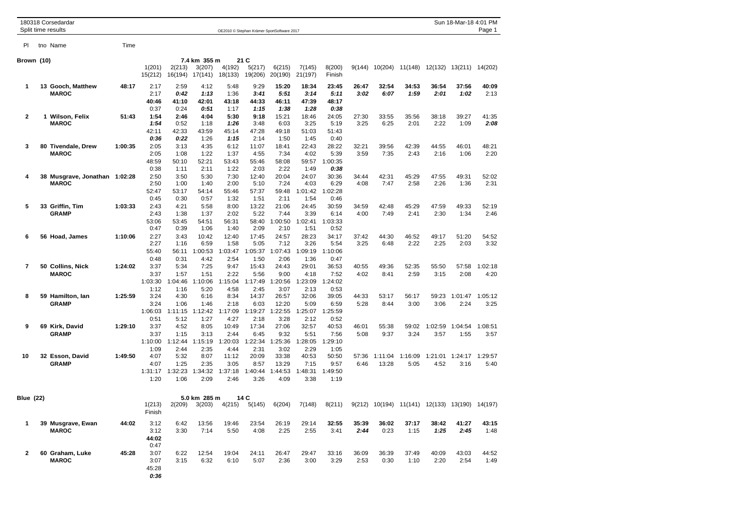| 180318 Corsedardar<br>Split time results |  |                                               |         | OE2010 © Stephan Krämer SportSoftware 2017 |                                         |                                         |                                          |                                          |                                           |                                          |                                          |               |                  |                                                |                         | Sun 18-Mar-18 4:01 PM<br>Page 1 |                 |  |  |
|------------------------------------------|--|-----------------------------------------------|---------|--------------------------------------------|-----------------------------------------|-----------------------------------------|------------------------------------------|------------------------------------------|-------------------------------------------|------------------------------------------|------------------------------------------|---------------|------------------|------------------------------------------------|-------------------------|---------------------------------|-----------------|--|--|
| PI.                                      |  | tno Name                                      | Time    |                                            |                                         |                                         |                                          |                                          |                                           |                                          |                                          |               |                  |                                                |                         |                                 |                 |  |  |
| Brown (10)                               |  |                                               |         |                                            |                                         | 7.4 km 355 m                            |                                          | 21 C                                     |                                           |                                          |                                          |               |                  |                                                |                         |                                 |                 |  |  |
|                                          |  |                                               |         | 1(201)<br>15(212)                          | 2(213)<br>16(194)                       | 3(207)<br>17(141)                       | 4(192)<br>18(133)                        | 5(217)<br>19(206)                        | 6(215)<br>20(190)                         | 7(145)<br>21(197)                        | 8(200)<br>Finish                         | 9(144)        | 10(204)          |                                                | 11(148) 12(132) 13(211) |                                 | 14(202)         |  |  |
| 1                                        |  | 13 Gooch, Matthew<br><b>MAROC</b>             | 48:17   | 2:17<br>2:17<br>40:46<br>0:37              | 2:59<br>0:42<br>41:10<br>0:24           | 4:12<br>1:13<br>42:01<br>0:51           | 5:48<br>1:36<br>43:18<br>1:17            | 9:29<br>3:41<br>44:33<br>1:15            | 15:20<br>5:51<br>46:11<br>1:38            | 18:34<br>3:14<br>47:39<br>1:28           | 23:45<br>5:11<br>48:17<br>0:38           | 26:47<br>3:02 | 32:54<br>6:07    | 34:53<br>1:59                                  | 36:54<br>2:01           | 37:56<br>1:02                   | 40:09<br>2:13   |  |  |
| 2                                        |  | 1 Wilson, Felix<br><b>MAROC</b>               | 51:43   | 1:54<br>1:54<br>42:11<br>0:36              | 2:46<br>0:52<br>42:33<br>0:22           | 4:04<br>1:18<br>43:59<br>1:26           | 5:30<br>1:26<br>45:14<br>1:15            | 9:18<br>3:48<br>47:28<br>2:14            | 15:21<br>6:03<br>49:18<br>1:50            | 18:46<br>3:25<br>51:03<br>1:45           | 24:05<br>5:19<br>51:43<br>0:40           | 27:30<br>3:25 | 33:55<br>6:25    | 35:56<br>2:01                                  | 38:18<br>2:22           | 39:27<br>1:09                   | 41:35<br>2:08   |  |  |
| 3                                        |  | 80 Tivendale, Drew<br><b>MAROC</b>            | 1:00:35 | 2:05<br>2:05<br>48:59<br>0:38              | 3:13<br>1:08<br>50:10<br>1:11           | 4:35<br>1:22<br>52:21<br>2:11           | 6:12<br>1:37<br>53:43<br>1:22            | 11:07<br>4:55<br>55:46<br>2:03           | 18:41<br>7:34<br>58:08<br>2:22            | 22:43<br>4:02<br>59:57<br>1:49           | 28:22<br>5:39<br>1:00:35<br>0:38         | 32:21<br>3:59 | 39:56<br>7:35    | 42:39<br>2:43                                  | 44:55<br>2:16           | 46:01<br>1:06                   | 48:21<br>2:20   |  |  |
| 4                                        |  | 38 Musgrave, Jonathan 1:02:28<br><b>MAROC</b> |         | 2:50<br>2:50<br>52:47<br>0:45              | 3:50<br>1:00<br>53:17<br>0:30           | 5:30<br>1:40<br>54:14<br>0:57           | 7:30<br>2:00<br>55:46<br>1:32            | 12:40<br>5:10<br>57:37<br>1:51           | 20:04<br>7:24<br>59:48<br>2:11            | 24:07<br>4:03<br>1:01:42<br>1:54         | 30:36<br>6:29<br>1:02:28<br>0:46         | 34:44<br>4:08 | 42:31<br>7:47    | 45:29<br>2:58                                  | 47:55<br>2:26           | 49:31<br>1:36                   | 52:02<br>2:31   |  |  |
| 5                                        |  | 33 Griffin, Tim<br><b>GRAMP</b>               | 1:03:33 | 2:43<br>2:43<br>53:06<br>0:47              | 4:21<br>1:38<br>53:45<br>0:39           | 5:58<br>1:37<br>54:51<br>1:06           | 8:00<br>2:02<br>56:31<br>1:40            | 13:22<br>5:22<br>58:40<br>2:09           | 21:06<br>7:44<br>1:00:50<br>2:10          | 24:45<br>3:39<br>1:02:41<br>1:51         | 30:59<br>6:14<br>1:03:33<br>0:52         | 34:59<br>4:00 | 42:48<br>7:49    | 45:29<br>2:41                                  | 47:59<br>2:30           | 49:33<br>1:34                   | 52:19<br>2:46   |  |  |
| 6                                        |  | 56 Hoad, James                                | 1:10:06 | 2:27<br>2:27<br>55:40<br>0:48              | 3:43<br>1:16<br>56:11<br>0:31           | 10:42<br>6:59<br>1:00:53<br>4:42        | 12:40<br>1:58<br>1:03:47<br>2:54         | 17:45<br>5:05<br>1:05:37<br>1:50         | 24:57<br>7:12<br>1:07:43<br>2:06          | 28:23<br>3:26<br>1:09:19<br>1:36         | 34:17<br>5:54<br>1:10:06<br>0:47         | 37:42<br>3:25 | 44:30<br>6:48    | 46:52<br>2:22                                  | 49:17<br>2:25           | 51:20<br>2:03                   | 54:52<br>3:32   |  |  |
| 7                                        |  | 50  Collins, Nick<br><b>MAROC</b>             | 1:24:02 | 3:37<br>3:37<br>1:03:30                    | 5:34<br>1:57<br>1:04:46                 | 7:25<br>1:51<br>1:10:06                 | 9:47<br>2:22<br>1:15:04                  | 15:43<br>5:56<br>1:17:49                 | 24:43<br>9:00<br>1:20:56                  | 29:01<br>4:18<br>1:23:09                 | 36:53<br>7:52<br>1:24:02                 | 40:55<br>4:02 | 49:36<br>8:41    | 52:35<br>2:59                                  | 55:50<br>3:15           | 57:58<br>2:08                   | 1:02:18<br>4:20 |  |  |
| 8                                        |  | 59 Hamilton, Ian<br><b>GRAMP</b>              | 1:25:59 | 1:12<br>3:24<br>3:24<br>1:06:03            | 1:16<br>4:30<br>1:06<br>1:11:15         | 5:20<br>6:16<br>1:46<br>1:12:42         | 4:58<br>8:34<br>2:18<br>1:17:09          | 2:45<br>14:37<br>6:03<br>1:19:27         | 3:07<br>26:57<br>12:20<br>1:22:55         | 2:13<br>32:06<br>5:09<br>1:25:07         | 0:53<br>39:05<br>6:59<br>1:25:59         | 44:33<br>5:28 | 53:17<br>8:44    | 56:17<br>3:00                                  | 59:23<br>3:06           | 1:01:47<br>2:24                 | 1:05:12<br>3:25 |  |  |
| 9                                        |  | 69 Kirk, David<br><b>GRAMP</b>                | 1:29:10 | 0:51<br>3:37<br>3:37<br>1:10:00            | 5:12<br>4:52<br>1:15<br>1:12:44         | 1:27<br>8:05<br>3:13<br>1:15:19         | 4:27<br>10:49<br>2:44<br>1:20:03         | 2:18<br>17:34<br>6:45<br>1:22:34         | 3:28<br>27:06<br>9:32<br>1:25:36          | 2:12<br>32:57<br>5:51<br>1:28:05         | 0:52<br>40:53<br>7:56<br>1:29:10         | 46:01<br>5:08 | 55:38<br>9:37    | 59:02<br>3:24                                  | 1:02:59<br>3:57         | 1:04:54<br>1:55                 | 1:08:51<br>3:57 |  |  |
| 10                                       |  | 32 Esson, David<br><b>GRAMP</b>               | 1:49:50 | 1:09<br>4:07<br>4:07<br>1:31:17<br>1:20    | 2:44<br>5:32<br>1:25<br>1:32:23<br>1:06 | 2:35<br>8:07<br>2:35<br>1:34:32<br>2:09 | 4:44<br>11:12<br>3:05<br>1:37:18<br>2:46 | 2:31<br>20:09<br>8:57<br>1:40:44<br>3:26 | 3:02<br>33:38<br>13:29<br>1:44:53<br>4:09 | 2:29<br>40:53<br>7:15<br>1:48:31<br>3:38 | 1:05<br>50:50<br>9:57<br>1:49:50<br>1:19 | 57:36<br>6:46 | 1:11:04<br>13:28 | 1:16:09<br>5:05                                | 1:21:01<br>4:52         | 1:24:17<br>3:16                 | 1:29:57<br>5:40 |  |  |
| <b>Blue (22)</b>                         |  |                                               |         | 1(213)<br>Finish                           | 2(209)                                  | 5.0 km 285 m<br>3(203)                  | 4(215)                                   | 14 C<br>5(145)                           | 6(204)                                    | 7(148)                                   | 8(211)                                   |               |                  | 9(212) 10(194) 11(141) 12(133) 13(190) 14(197) |                         |                                 |                 |  |  |
| 1                                        |  | 39 Musgrave, Ewan<br><b>MAROC</b>             | 44:02   | 3:12<br>3:12<br>44:02<br>0:47              | 6:42<br>3:30                            | 13:56<br>7:14                           | 19:46<br>5:50                            | 23:54<br>4:08                            | 26:19<br>2:25                             | 29:14<br>2:55                            | 32:55<br>3:41                            | 35:39<br>2:44 | 36:02<br>0:23    | 37:17<br>1:15                                  | 38:42<br>1:25           | 41:27<br>2:45                   | 43:15<br>1:48   |  |  |
| 2                                        |  | 60 Graham, Luke<br><b>MAROC</b>               | 45:28   | 3:07<br>3:07<br>45:28<br>0:36              | 6:22<br>3:15                            | 12:54<br>6:32                           | 19:04<br>6:10                            | 24:11<br>5:07                            | 26:47<br>2:36                             | 29:47<br>3:00                            | 33:16<br>3:29                            | 36:09<br>2:53 | 36:39<br>0:30    | 37:49<br>1:10                                  | 40:09<br>2:20           | 43:03<br>2:54                   | 44:52<br>1:49   |  |  |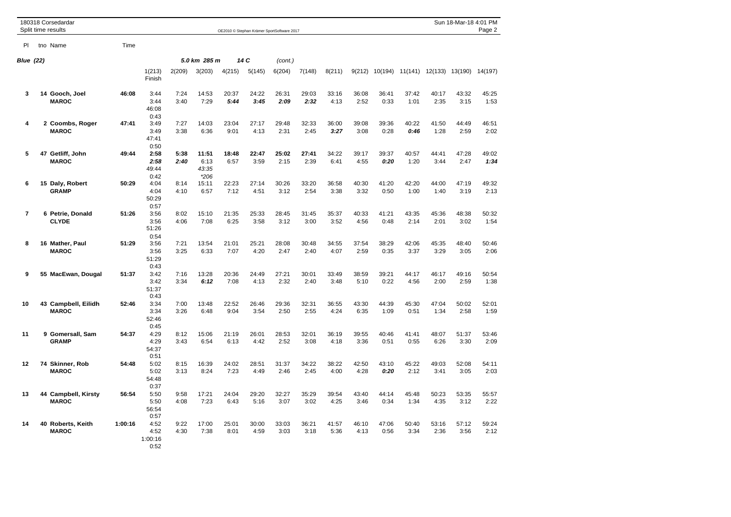|                  | 180318 Corsedardar<br>Split time results |         | Sun 18-Mar-18 4:01 PM<br>OE2010 © Stephan Krämer SportSoftware 2017 |              |                                  |               |               |               |               |               |               |               |                                 |               | Page 2        |               |
|------------------|------------------------------------------|---------|---------------------------------------------------------------------|--------------|----------------------------------|---------------|---------------|---------------|---------------|---------------|---------------|---------------|---------------------------------|---------------|---------------|---------------|
| PI               | tno Name                                 | Time    |                                                                     |              |                                  |               |               |               |               |               |               |               |                                 |               |               |               |
| <b>Blue (22)</b> |                                          |         |                                                                     |              | 5.0 km 285 m                     |               | 14 C          | (cont.)       |               |               |               |               |                                 |               |               |               |
|                  |                                          |         | 1(213)<br>Finish                                                    | 2(209)       | 3(203)                           | 4(215)        | 5(145)        | 6(204)        | 7(148)        | 8(211)        | 9(212)        |               | 10(194) 11(141) 12(133) 13(190) |               |               | 14(197)       |
| 3                | 14 Gooch, Joel<br><b>MAROC</b>           | 46:08   | 3:44<br>3:44<br>46:08<br>0:43                                       | 7:24<br>3:40 | 14:53<br>7:29                    | 20:37<br>5:44 | 24:22<br>3:45 | 26:31<br>2:09 | 29:03<br>2:32 | 33:16<br>4:13 | 36:08<br>2:52 | 36:41<br>0:33 | 37:42<br>1:01                   | 40:17<br>2:35 | 43:32<br>3:15 | 45:25<br>1:53 |
| 4                | 2 Coombs, Roger<br><b>MAROC</b>          | 47:41   | 3:49<br>3:49<br>47:41<br>0:50                                       | 7:27<br>3:38 | 14:03<br>6:36                    | 23:04<br>9:01 | 27:17<br>4:13 | 29:48<br>2:31 | 32:33<br>2:45 | 36:00<br>3:27 | 39:08<br>3:08 | 39:36<br>0:28 | 40:22<br>0:46                   | 41:50<br>1:28 | 44:49<br>2:59 | 46:51<br>2:02 |
| 5                | 47 Getliff, John<br><b>MAROC</b>         | 49:44   | 2:58<br>2:58<br>49:44<br>0:42                                       | 5:38<br>2:40 | 11:51<br>6:13<br>43:35<br>$*206$ | 18:48<br>6:57 | 22:47<br>3:59 | 25:02<br>2:15 | 27:41<br>2:39 | 34:22<br>6:41 | 39:17<br>4:55 | 39:37<br>0:20 | 40:57<br>1:20                   | 44:41<br>3:44 | 47:28<br>2:47 | 49:02<br>1:34 |
| 6                | 15 Daly, Robert<br><b>GRAMP</b>          | 50:29   | 4:04<br>4:04<br>50:29<br>0:57                                       | 8:14<br>4:10 | 15:11<br>6:57                    | 22:23<br>7:12 | 27:14<br>4:51 | 30:26<br>3:12 | 33:20<br>2:54 | 36:58<br>3:38 | 40:30<br>3:32 | 41:20<br>0:50 | 42:20<br>1:00                   | 44:00<br>1:40 | 47:19<br>3:19 | 49:32<br>2:13 |
| $\overline{7}$   | 6 Petrie, Donald<br><b>CLYDE</b>         | 51:26   | 3:56<br>3:56<br>51:26<br>0:54                                       | 8:02<br>4:06 | 15:10<br>7:08                    | 21:35<br>6:25 | 25:33<br>3:58 | 28:45<br>3:12 | 31:45<br>3:00 | 35:37<br>3:52 | 40:33<br>4:56 | 41:21<br>0:48 | 43:35<br>2:14                   | 45:36<br>2:01 | 48:38<br>3:02 | 50:32<br>1:54 |
| 8                | 16 Mather, Paul<br><b>MAROC</b>          | 51:29   | 3:56<br>3:56<br>51:29<br>0:43                                       | 7:21<br>3:25 | 13:54<br>6:33                    | 21:01<br>7:07 | 25:21<br>4:20 | 28:08<br>2:47 | 30:48<br>2:40 | 34:55<br>4:07 | 37:54<br>2:59 | 38:29<br>0:35 | 42:06<br>3:37                   | 45:35<br>3:29 | 48:40<br>3:05 | 50:46<br>2:06 |
| 9                | 55 MacEwan, Dougal                       | 51:37   | 3:42<br>3:42<br>51:37<br>0:43                                       | 7:16<br>3:34 | 13:28<br>6:12                    | 20:36<br>7:08 | 24:49<br>4:13 | 27:21<br>2:32 | 30:01<br>2:40 | 33:49<br>3:48 | 38:59<br>5:10 | 39:21<br>0:22 | 44:17<br>4:56                   | 46:17<br>2:00 | 49:16<br>2:59 | 50:54<br>1:38 |
| 10               | 43 Campbell, Eilidh<br><b>MAROC</b>      | 52:46   | 3:34<br>3:34<br>52:46<br>0:45                                       | 7:00<br>3:26 | 13:48<br>6:48                    | 22:52<br>9:04 | 26:46<br>3:54 | 29:36<br>2:50 | 32:31<br>2:55 | 36:55<br>4:24 | 43:30<br>6:35 | 44:39<br>1:09 | 45:30<br>0:51                   | 47:04<br>1:34 | 50:02<br>2:58 | 52:01<br>1:59 |
| 11               | 9 Gomersall, Sam<br><b>GRAMP</b>         | 54:37   | 4:29<br>4:29<br>54:37<br>0:51                                       | 8:12<br>3:43 | 15:06<br>6:54                    | 21:19<br>6:13 | 26:01<br>4:42 | 28:53<br>2:52 | 32:01<br>3:08 | 36:19<br>4:18 | 39:55<br>3:36 | 40:46<br>0:51 | 41:41<br>0:55                   | 48:07<br>6:26 | 51:37<br>3:30 | 53:46<br>2:09 |
| 12               | 74 Skinner, Rob<br><b>MAROC</b>          | 54:48   | 5:02<br>5:02<br>54:48<br>0:37                                       | 8:15<br>3:13 | 16:39<br>8:24                    | 24:02<br>7:23 | 28:51<br>4:49 | 31:37<br>2:46 | 34:22<br>2:45 | 38:22<br>4:00 | 42:50<br>4:28 | 43:10<br>0:20 | 45:22<br>2:12                   | 49:03<br>3:41 | 52:08<br>3:05 | 54:11<br>2:03 |
| 13               | 44 Campbell, Kirsty<br><b>MAROC</b>      | 56:54   | 5:50<br>5:50<br>56:54<br>0:57                                       | 9:58<br>4:08 | 17:21<br>7:23                    | 24:04<br>6:43 | 29:20<br>5:16 | 32:27<br>3:07 | 35:29<br>3:02 | 39:54<br>4:25 | 43:40<br>3:46 | 44:14<br>0:34 | 45:48<br>1:34                   | 50:23<br>4:35 | 53:35<br>3:12 | 55:57<br>2:22 |
| 14               | 40 Roberts, Keith<br><b>MAROC</b>        | 1:00:16 | 4:52<br>4:52<br>1:00:16<br>0:52                                     | 9:22<br>4:30 | 17:00<br>7:38                    | 25:01<br>8:01 | 30:00<br>4:59 | 33:03<br>3:03 | 36:21<br>3:18 | 41:57<br>5:36 | 46:10<br>4:13 | 47:06<br>0:56 | 50:40<br>3:34                   | 53:16<br>2:36 | 57:12<br>3:56 | 59:24<br>2:12 |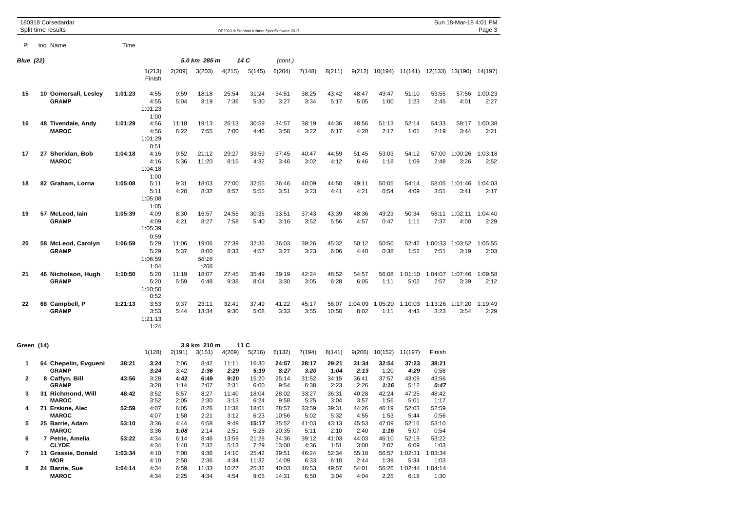|                  | 180318 Corsedardar<br>Split time results            |                |                                 |                      |                                  |                       | OE2010 © Stephan Krämer SportSoftware 2017 |                         |                        |                        |                        |                        |                               |                         | Sun 18-Mar-18 4:01 PM   | Page 3          |
|------------------|-----------------------------------------------------|----------------|---------------------------------|----------------------|----------------------------------|-----------------------|--------------------------------------------|-------------------------|------------------------|------------------------|------------------------|------------------------|-------------------------------|-------------------------|-------------------------|-----------------|
| PI.              | tno Name                                            | Time           |                                 |                      |                                  |                       |                                            |                         |                        |                        |                        |                        |                               |                         |                         |                 |
| <b>Blue (22)</b> |                                                     |                |                                 |                      | 5.0 km 285 m                     |                       | 14 C                                       | (cont.)                 |                        |                        |                        |                        |                               |                         |                         |                 |
|                  |                                                     |                | 1(213)<br>Finish                | 2(209)               | 3(203)                           | 4(215)                | 5(145)                                     | 6(204)                  | 7(148)                 | 8(211)                 | 9(212)                 | 10(194)                |                               | 11(141) 12(133) 13(190) |                         | 14(197)         |
| 15               | 10 Gomersall, Lesley<br><b>GRAMP</b>                | 1:01:23        | 4:55<br>4:55<br>1:01:23<br>1:00 | 9:59<br>5:04         | 18:18<br>8:19                    | 25:54<br>7:36         | 31:24<br>5:30                              | 34:51<br>3:27           | 38:25<br>3:34          | 43:42<br>5:17          | 48:47<br>5:05          | 49:47<br>1:00          | 51:10<br>1:23                 | 53:55<br>2:45           | 57:56<br>4:01           | 1:00:23<br>2:27 |
| 16               | 48 Tivendale, Andy<br><b>MAROC</b>                  | 1:01:29        | 4:56<br>4:56<br>1:01:29<br>0:51 | 11:18<br>6:22        | 19:13<br>7:55                    | 26:13<br>7:00         | 30:59<br>4:46                              | 34:57<br>3:58           | 38:19<br>3:22          | 44:36<br>6:17          | 48:56<br>4:20          | 51:13<br>2:17          | 52:14<br>1:01                 | 54:33<br>2:19           | 58:17<br>3:44           | 1:00:38<br>2:21 |
| 17               | 27 Sheridan, Bob<br><b>MAROC</b>                    | 1:04:18        | 4:16<br>4:16<br>1:04:18<br>1:00 | 9:52<br>5:36         | 21:12<br>11:20                   | 29:27<br>8:15         | 33:59<br>4:32                              | 37:45<br>3:46           | 40:47<br>3:02          | 44:59<br>4:12          | 51:45<br>6:46          | 53:03<br>1:18          | 54:12<br>1:09                 | 57:00<br>2:48           | 1:00:26<br>3:26         | 1:03:18<br>2:52 |
| 18               | 82 Graham, Lorna                                    | 1:05:08        | 5:11<br>5:11<br>1:05:08<br>1:05 | 9:31<br>4:20         | 18:03<br>8:32                    | 27:00<br>8:57         | 32:55<br>5:55                              | 36:46<br>3:51           | 40:09<br>3:23          | 44:50<br>4:41          | 49:11<br>4:21          | 50:05<br>0:54          | 54:14<br>4:09                 | 58:05<br>3:51           | 1:01:46<br>3:41         | 1:04:03<br>2:17 |
| 19               | 57 McLeod, Iain<br><b>GRAMP</b>                     | 1:05:39        | 4:09<br>4:09<br>1:05:39<br>0:59 | 8:30<br>4:21         | 16:57<br>8:27                    | 24:55<br>7:58         | 30:35<br>5:40                              | 33:51<br>3:16           | 37:43<br>3:52          | 43:39<br>5:56          | 48:36<br>4:57          | 49:23<br>0:47          | 50:34<br>1:11                 | 58:11<br>7:37           | 1:02:11<br>4:00         | 1:04:40<br>2:29 |
| 20               | 58 McLeod, Carolyn<br><b>GRAMP</b>                  | 1:06:59        | 5:29<br>5:29<br>1:06:59<br>1:04 | 11:06<br>5:37        | 19:06<br>8:00<br>56:16<br>$*206$ | 27:39<br>8:33         | 32:36<br>4:57                              | 36:03<br>3:27           | 39:26<br>3:23          | 45:32<br>6:06          | 50:12<br>4:40          | 50:50<br>0:38          | 52:42<br>1:52                 | 7:51                    | 1:00:33 1:03:52<br>3:19 | 1:05:55<br>2:03 |
| 21               | 46 Nicholson, Hugh<br><b>GRAMP</b>                  | 1:10:50        | 5:20<br>5:20<br>1:10:50<br>0:52 | 11:19<br>5:59        | 18:07<br>6:48                    | 27:45<br>9:38         | 35:49<br>8:04                              | 39:19<br>3:30           | 42:24<br>3:05          | 48:52<br>6:28          | 54:57<br>6:05          | 56:08<br>1:11          | 1:01:10<br>5:02               | 1:04:07<br>2:57         | 1:07:46<br>3:39         | 1:09:58<br>2:12 |
| 22               | 68 Campbell, P<br><b>GRAMP</b>                      | 1:21:13        | 3:53<br>3:53<br>1:21:13<br>1:24 | 9:37<br>5:44         | 23:11<br>13:34                   | 32:41<br>9:30         | 37:49<br>5:08                              | 41:22<br>3:33           | 45:17<br>3:55          | 56:07<br>10:50         | 1:04:09<br>8:02        | 1:05:20<br>1:11        | 1:10:03<br>4:43               | 1:13:26<br>3:23         | 1:17:20<br>3:54         | 1:19:49<br>2:29 |
| Green (14)       |                                                     |                | 1(128)                          | 2(191)               | 3.9 km 210 m<br>3(151)           | 4(209)                | 11C<br>5(216)                              | 6(132)                  | 7(194)                 | 8(141)                 | 9(206)                 | 10(152)                | 11(197)                       | Finish                  |                         |                 |
| 1                | 64 Chepelin, Evgueni<br><b>GRAMP</b>                | 38:21          | 3:24<br>3:24                    | 7:06<br>3:42         | 8:42<br>1:36                     | 11:11<br>2:29         | 16:30<br>5:19                              | 24:57<br>8:27           | 28:17<br>3:20          | 29:21<br>1:04          | 31:34<br>2:13          | 32:54<br>1:20          | 37:23<br>4:29                 | 38:21<br>0:58           |                         |                 |
| 2                | 8 Caffyn, Bill<br><b>GRAMP</b>                      | 43:56          | 3:28<br>3:28                    | 4:42<br>1:14         | 6:49<br>2:07                     | 9:20<br>2:31          | 15:20<br>6:00                              | 25:14<br>9:54           | 31:52<br>6:38          | 34:15<br>2:23          | 36:41<br>2:26          | 37:57<br>1:16          | 43:09<br>5:12                 | 43:56<br>0:47           |                         |                 |
| 3                | 31 Richmond, Will<br><b>MAROC</b>                   | 48:42          | 3:52<br>3:52                    | 5:57<br>2:05         | 8:27<br>2:30                     | 11:40<br>3:13         | 18:04<br>6:24                              | 28:02<br>9:58           | 33:27<br>5:25          | 36:31<br>3:04          | 40:28<br>3:57          | 42:24<br>1:56          | 47:25<br>5:01                 | 48:42<br>1:17           |                         |                 |
| 4<br>5           | 71 Erskine, Alec<br><b>MAROC</b><br>25 Barrie, Adam | 52:59<br>53:10 | 4:07<br>4:07<br>3:36            | 6:05<br>1:58<br>4:44 | 8:26<br>2:21<br>6:58             | 11:38<br>3:12<br>9:49 | 18:01<br>6:23<br>15:17                     | 28:57<br>10:56<br>35:52 | 33:59<br>5:02<br>41:03 | 39:31<br>5:32<br>43:13 | 44:26<br>4:55<br>45:53 | 46:19<br>1:53<br>47:09 | 52:03<br>5:44<br>52:16        | 52:59<br>0:56<br>53:10  |                         |                 |
| 6                | <b>MAROC</b><br>7 Petrie, Amelia                    | 53:22          | 3:36<br>4:34                    | 1:08<br>6:14         | 2:14<br>8:46                     | 2:51<br>13:59         | 5:28<br>21:28                              | 20:35<br>34:36          | 5:11<br>39:12          | 2:10<br>41:03          | 2:40<br>44:03          | 1:16<br>46:10          | 5:07<br>52:19                 | 0:54<br>53:22           |                         |                 |
| 7                | <b>CLYDE</b><br>11 Grassie, Donald<br><b>MOR</b>    | 1:03:34        | 4:34<br>4:10<br>4:10            | 1:40<br>7:00<br>2:50 | 2:32<br>9:36<br>2:36             | 5:13<br>14:10<br>4:34 | 7:29<br>25:42<br>11:32                     | 13:08<br>39:51<br>14:09 | 4:36<br>46:24<br>6:33  | 1:51<br>52:34<br>6:10  | 3:00<br>55:18<br>2:44  | 2:07<br>56:57<br>1:39  | 6:09<br>1:02:31<br>5:34       | 1:03<br>1:03:34<br>1:03 |                         |                 |
| 8                | 24 Barrie, Sue<br><b>MAROC</b>                      | 1:04:14        | 4:34<br>4:34                    | 6:59<br>2:25         | 11:33<br>4:34                    | 16:27<br>4:54         | 25:32<br>9:05                              | 40:03<br>14:31          | 46:53<br>6:50          | 49:57<br>3:04          | 54:01<br>4:04          | 2:25                   | 56:26 1:02:44 1:04:14<br>6:18 | 1:30                    |                         |                 |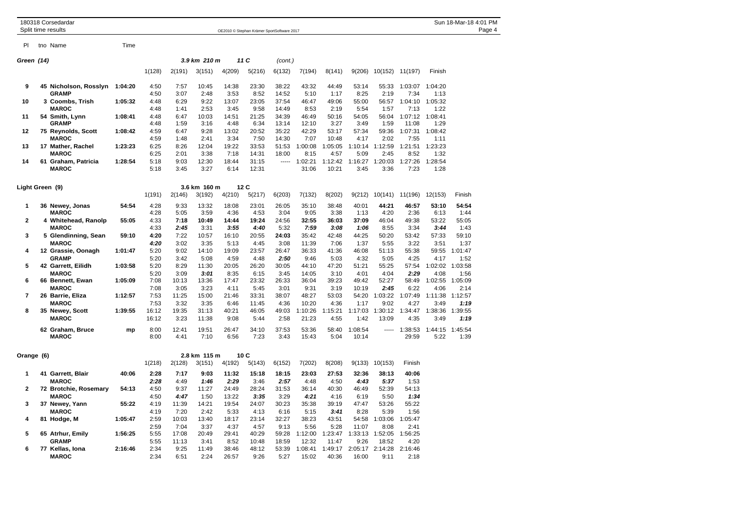|                         | 180318 Corsedardar<br>Split time results |         | OE2010 © Stephan Krämer SportSoftware 2017 |                |                |                |                |                |                  |                  |                  |                        |                  |                 | Sun 18-Mar-18 4:01 PM<br>Page 4 |  |  |
|-------------------------|------------------------------------------|---------|--------------------------------------------|----------------|----------------|----------------|----------------|----------------|------------------|------------------|------------------|------------------------|------------------|-----------------|---------------------------------|--|--|
| PI                      | tno Name                                 | Time    |                                            |                |                |                |                |                |                  |                  |                  |                        |                  |                 |                                 |  |  |
| Green (14)              |                                          |         |                                            |                | 3.9 km 210 m   |                | 11 C           | (cont.)        |                  |                  |                  |                        |                  |                 |                                 |  |  |
|                         |                                          |         | 1(128)                                     | 2(191)         | 3(151)         | 4(209)         | 5(216)         | 6(132)         | 7(194)           | 8(141)           |                  | 9(206) 10(152) 11(197) |                  | Finish          |                                 |  |  |
| 9                       | 45 Nicholson, Rosslyn<br><b>GRAMP</b>    | 1:04:20 | 4:50<br>4:50                               | 7:57<br>3:07   | 10:45<br>2:48  | 14:38<br>3:53  | 23:30<br>8:52  | 38:22<br>14:52 | 43:32<br>5:10    | 44:49<br>1:17    | 53:14<br>8:25    | 55:33<br>2:19          | 1:03:07<br>7:34  | 1:04:20<br>1:13 |                                 |  |  |
| 10                      | 3 Coombs, Trish<br><b>MAROC</b>          | 1:05:32 | 4:48<br>4:48                               | 6:29<br>1:41   | 9:22<br>2:53   | 13:07<br>3:45  | 23:05<br>9:58  | 37:54<br>14:49 | 46:47<br>8:53    | 49:06<br>2:19    | 55:00<br>5:54    | 56:57<br>1:57          | 1:04:10<br>7:13  | 1:05:32<br>1:22 |                                 |  |  |
| 11                      | 54 Smith, Lynn<br><b>GRAMP</b>           | 1:08:41 | 4:48<br>4:48                               | 6:47<br>1:59   | 10:03<br>3:16  | 14:51<br>4:48  | 21:25<br>6:34  | 34:39<br>13:14 | 46:49<br>12:10   | 50:16<br>3:27    | 54:05<br>3:49    | 56:04<br>1:59          | 1:07:12<br>11:08 | 1:08:41<br>1:29 |                                 |  |  |
| 12                      | 75 Reynolds, Scott<br><b>MAROC</b>       | 1:08:42 | 4:59<br>4:59                               | 6:47<br>1:48   | 9:28<br>2:41   | 13:02<br>3:34  | 20:52<br>7:50  | 35:22<br>14:30 | 42:29<br>7:07    | 53:17<br>10:48   | 57:34<br>4:17    | 59:36<br>2:02          | 1:07:31<br>7:55  | 1:08:42<br>1:11 |                                 |  |  |
| 13                      | 17 Mather, Rachel<br><b>MAROC</b>        | 1:23:23 | 6:25<br>6:25                               | 8:26<br>2:01   | 12:04<br>3:38  | 19:22<br>7:18  | 33:53<br>14:31 | 51:53<br>18:00 | 1:00:08<br>8:15  | 1:05:05<br>4:57  | 1:10:14<br>5:09  | 1:12:59<br>2:45        | 1:21:51<br>8:52  | 1:23:23<br>1:32 |                                 |  |  |
| 14                      | 61 Graham, Patricia<br><b>MAROC</b>      | 1:28:54 | 5:18<br>5:18                               | 9:03<br>3:45   | 12:30<br>3:27  | 18:44<br>6:14  | 31:15<br>12:31 | -----          | 1:02:21<br>31:06 | 1:12:42<br>10:21 | 1:16:27<br>3:45  | 1:20:03<br>3:36        | 1:27:26<br>7:23  | 1:28:54<br>1:28 |                                 |  |  |
| Light Green (9)         |                                          |         |                                            |                | 3.6 km 160 m   |                | 12C            |                |                  |                  |                  |                        |                  |                 |                                 |  |  |
|                         |                                          |         | 1(191)                                     | 2(146)         | 3(192)         | 4(210)         | 5(217)         | 6(203)         | 7(132)           | 8(202)           | 9(212)           | 10(141)                | 11(196)          | 12(153)         | Finish                          |  |  |
| 1                       | 36 Newey, Jonas<br><b>MAROC</b>          | 54:54   | 4:28<br>4:28                               | 9:33<br>5:05   | 13:32<br>3:59  | 18:08<br>4:36  | 23:01<br>4:53  | 26:05<br>3:04  | 35:10<br>9:05    | 38:48<br>3:38    | 40:01<br>1:13    | 44:21<br>4:20          | 46:57<br>2:36    | 53:10<br>6:13   | 54:54<br>1:44                   |  |  |
| $\overline{\mathbf{2}}$ | 4 Whitehead, Ranolp<br><b>MAROC</b>      | 55:05   | 4:33<br>4:33                               | 7:18<br>2:45   | 10:49<br>3:31  | 14:44<br>3:55  | 19:24<br>4:40  | 24:56<br>5:32  | 32:55<br>7:59    | 36:03<br>3:08    | 37:09<br>1:06    | 46:04<br>8:55          | 49:38<br>3:34    | 53:22<br>3:44   | 55:05<br>1:43                   |  |  |
| 3                       | 5 Glendinning, Sean<br><b>MAROC</b>      | 59:10   | 4:20<br>4:20                               | 7:22<br>3:02   | 10:57<br>3:35  | 16:10<br>5:13  | 20:55<br>4:45  | 24:03<br>3:08  | 35:42<br>11:39   | 42:48<br>7:06    | 44:25<br>1:37    | 50:20<br>5:55          | 53:42<br>3:22    | 57:33<br>3:51   | 59:10<br>1:37                   |  |  |
| 4                       | 12 Grassie, Oonagh<br><b>GRAMP</b>       | 1:01:47 | 5:20<br>5:20                               | 9:02<br>3:42   | 14:10<br>5:08  | 19:09<br>4:59  | 23:57<br>4:48  | 26:47<br>2:50  | 36:33<br>9:46    | 41:36<br>5:03    | 46:08<br>4:32    | 51:13<br>5:05          | 55:38<br>4:25    | 59:55<br>4:17   | 1:01:47<br>1:52                 |  |  |
| 5                       | 42 Garrett, Eilidh<br><b>MAROC</b>       | 1:03:58 | 5:20<br>5:20                               | 8:29<br>3:09   | 11:30<br>3:01  | 20:05<br>8:35  | 26:20<br>6:15  | 30:05<br>3:45  | 44:10<br>14:05   | 47:20<br>3:10    | 51:21<br>4:01    | 55:25<br>4:04          | 57:54<br>2:29    | 1:02:02<br>4:08 | 1:03:58<br>1:56                 |  |  |
| 6                       | 66 Bennett, Ewan<br><b>MAROC</b>         | 1:05:09 | 7:08<br>7:08                               | 10:13<br>3:05  | 13:36<br>3:23  | 17:47<br>4:11  | 23:32<br>5:45  | 26:33<br>3:01  | 36:04<br>9:31    | 39:23<br>3:19    | 49:42<br>10:19   | 52:27<br>2:45          | 58:49<br>6:22    | 1:02:55<br>4:06 | 1:05:09<br>2:14                 |  |  |
| $\overline{7}$          | 26 Barrie, Eliza<br><b>MAROC</b>         | 1:12:57 | 7:53<br>7:53                               | 11:25<br>3:32  | 15:00<br>3:35  | 21:46<br>6:46  | 33:31<br>11:45 | 38:07<br>4:36  | 48:27<br>10:20   | 53:03<br>4:36    | 54:20<br>1:17    | 1:03:22<br>9:02        | 1:07:49<br>4:27  | 1:11:38<br>3:49 | 1:12:57<br>1:19                 |  |  |
| 8                       | 35 Newey, Scott<br><b>MAROC</b>          | 1:39:55 | 16:12<br>16:12                             | 19:35<br>3:23  | 31:13<br>11:38 | 40:21<br>9:08  | 46:05<br>5:44  | 49:03<br>2:58  | 1:10:26<br>21:23 | 1:15:21<br>4:55  | 1:17:03<br>1:42  | 1:30:12<br>13:09       | 1:34:47<br>4:35  | 1:38:36<br>3:49 | 1:39:55<br>1:19                 |  |  |
|                         | 62 Graham, Bruce<br><b>MAROC</b>         | mp      | 8:00<br>8:00                               | 12:41<br>4:41  | 19:51<br>7:10  | 26:47<br>6:56  | 34:10<br>7:23  | 37:53<br>3:43  | 53:36<br>15:43   | 58:40<br>5:04    | 1:08:54<br>10:14 | -----                  | 1:38:53<br>29:59 | 1:44:15<br>5:22 | 1:45:54<br>1:39                 |  |  |
| Orange (6)              |                                          |         |                                            |                | 2.8 km 115 m   |                | 10C            |                |                  |                  |                  |                        |                  |                 |                                 |  |  |
|                         |                                          |         | 1(218)                                     | 2(128)         | 3(151)         | 4(192)         | 5(143)         | 6(152)         | 7(202)           | 8(208)           | 9(133)           | 10(153)                | Finish           |                 |                                 |  |  |
| 1                       | 41 Garrett, Blair<br><b>MAROC</b>        | 40:06   | 2:28<br>2:28                               | 7:17<br>4:49   | 9:03<br>1:46   | 11:32<br>2:29  | 15:18<br>3:46  | 18:15<br>2:57  | 23:03<br>4:48    | 27:53<br>4:50    | 32:36<br>4:43    | 38:13<br>5:37          | 40:06<br>1:53    |                 |                                 |  |  |
| $\mathbf{2}$            | 72 Brotchie, Rosemary<br><b>MAROC</b>    | 54:13   | 4:50<br>4:50                               | 9:37<br>4:47   | 11:27<br>1:50  | 24:49<br>13:22 | 28:24<br>3:35  | 31:53<br>3:29  | 36:14<br>4:21    | 40:30<br>4:16    | 46:49<br>6:19    | 52:39<br>5:50          | 54:13<br>1:34    |                 |                                 |  |  |
| 3                       | 37 Newey, Yann<br><b>MAROC</b>           | 55:22   | 4:19<br>4:19                               | 11:39<br>7:20  | 14:21<br>2:42  | 19:54<br>5:33  | 24:07<br>4:13  | 30:23<br>6:16  | 35:38<br>5:15    | 39:19<br>3:41    | 47:47<br>8:28    | 53:26<br>5:39          | 55:22<br>1:56    |                 |                                 |  |  |
| 4                       | 81 Hodge, M                              | 1:05:47 | 2:59<br>2:59                               | 10:03<br>7:04  | 13:40<br>3:37  | 18:17<br>4:37  | 23:14<br>4:57  | 32:27<br>9:13  | 38:23<br>5:56    | 43:51<br>5:28    | 54:58<br>11:07   | 1:03:06<br>8:08        | 1:05:47<br>2:41  |                 |                                 |  |  |
| 5                       | 65 Atrhur, Emily<br><b>GRAMP</b>         | 1:56:25 | 5:55<br>5:55                               | 17:08<br>11:13 | 20:49<br>3:41  | 29:41<br>8:52  | 40:29<br>10:48 | 59:28<br>18:59 | 1:12:00<br>12:32 | 1:23:47<br>11:47 | 1:33:13<br>9:26  | 1:52:05<br>18:52       | 1:56:25<br>4:20  |                 |                                 |  |  |
| 6                       | 77 Kellas, Iona<br><b>MAROC</b>          | 2:16:46 | 2:34<br>2:34                               | 9:25<br>6:51   | 11:49<br>2:24  | 38:46<br>26:57 | 48:12<br>9:26  | 53:39<br>5:27  | 1:08:41<br>15:02 | 1:49:17<br>40:36 | 2:05:17<br>16:00 | 2:14:28<br>9:11        | 2:16:46<br>2:18  |                 |                                 |  |  |